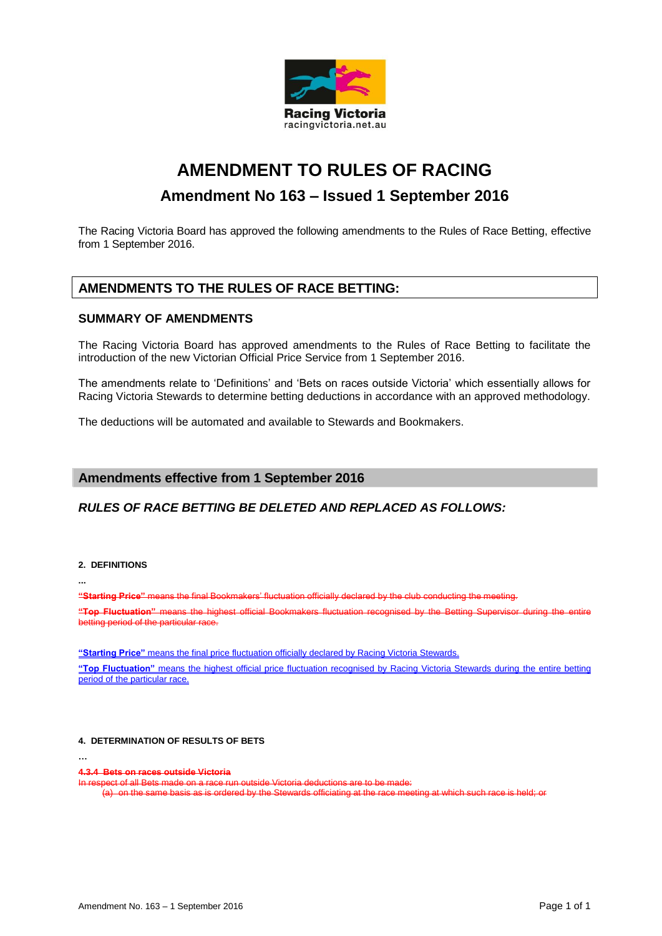

# **AMENDMENT TO RULES OF RACING Amendment No 163 – Issued 1 September 2016**

The Racing Victoria Board has approved the following amendments to the Rules of Race Betting, effective from 1 September 2016.

## **AMENDMENTS TO THE RULES OF RACE BETTING:**

### **SUMMARY OF AMENDMENTS**

The Racing Victoria Board has approved amendments to the Rules of Race Betting to facilitate the introduction of the new Victorian Official Price Service from 1 September 2016.

The amendments relate to 'Definitions' and 'Bets on races outside Victoria' which essentially allows for Racing Victoria Stewards to determine betting deductions in accordance with an approved methodology.

The deductions will be automated and available to Stewards and Bookmakers.

## **Amendments effective from 1 September 2016**

## *RULES OF RACE BETTING BE DELETED AND REPLACED AS FOLLOWS:*

#### **2. DEFINITIONS**

**...**

**…**

**"Starting Price"** means the final Bookmakers

"Top Fluctuation" means the highest official betting period of the particular race.

**"Starting Price"** means the final price fluctuation officially declared by Racing Victoria Stewards.

**"Top Fluctuation"** means the highest official price fluctuation recognised by Racing Victoria Stewards during the entire betting period of the particular race.

#### **4. DETERMINATION OF RESULTS OF BETS**

**4.3.4 Bets on races outside Victoria**

Inf all Bets made on a race

(a) on the same basis as is ordered by the Stewards officiating at the race meeting at which such race is held; or